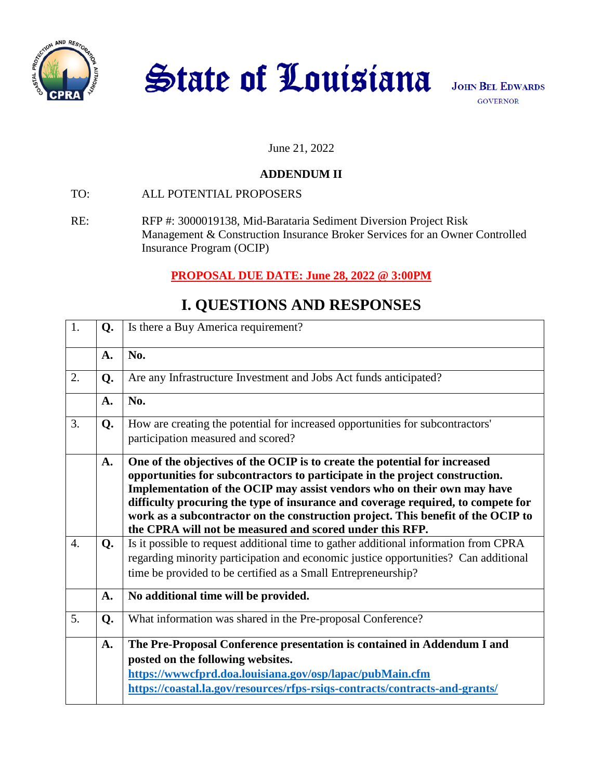

State of Louisiana

#### June 21, 2022

### **ADDENDUM II**

- TO: ALL POTENTIAL PROPOSERS
- RE: RFP #: 3000019138, Mid-Barataria Sediment Diversion Project Risk Management & Construction Insurance Broker Services for an Owner Controlled Insurance Program (OCIP)

## **PROPOSAL DUE DATE: June 28, 2022 @ 3:00PM**

# **I. QUESTIONS AND RESPONSES**

| 1.               | Q <sub>1</sub> | Is there a Buy America requirement?                                                                                                                                                                                                                                                                                                                                                                                                                                       |
|------------------|----------------|---------------------------------------------------------------------------------------------------------------------------------------------------------------------------------------------------------------------------------------------------------------------------------------------------------------------------------------------------------------------------------------------------------------------------------------------------------------------------|
|                  | $\mathbf{A}$ . | No.                                                                                                                                                                                                                                                                                                                                                                                                                                                                       |
| 2.               | Q.             | Are any Infrastructure Investment and Jobs Act funds anticipated?                                                                                                                                                                                                                                                                                                                                                                                                         |
|                  | A.             | No.                                                                                                                                                                                                                                                                                                                                                                                                                                                                       |
| 3.               | Q.             | How are creating the potential for increased opportunities for subcontractors'<br>participation measured and scored?                                                                                                                                                                                                                                                                                                                                                      |
|                  | A.             | One of the objectives of the OCIP is to create the potential for increased<br>opportunities for subcontractors to participate in the project construction.<br>Implementation of the OCIP may assist vendors who on their own may have<br>difficulty procuring the type of insurance and coverage required, to compete for<br>work as a subcontractor on the construction project. This benefit of the OCIP to<br>the CPRA will not be measured and scored under this RFP. |
| $\overline{4}$ . | Q.             | Is it possible to request additional time to gather additional information from CPRA<br>regarding minority participation and economic justice opportunities? Can additional<br>time be provided to be certified as a Small Entrepreneurship?                                                                                                                                                                                                                              |
|                  | A.             | No additional time will be provided.                                                                                                                                                                                                                                                                                                                                                                                                                                      |
| 5.               | Q.             | What information was shared in the Pre-proposal Conference?                                                                                                                                                                                                                                                                                                                                                                                                               |
|                  | A.             | The Pre-Proposal Conference presentation is contained in Addendum I and<br>posted on the following websites.<br>https://www.cfprd.doa.louisiana.gov/osp/lapac/pubMain.cfm<br>https://coastal.la.gov/resources/rfps-rsiqs-contracts/contracts-and-grants/                                                                                                                                                                                                                  |